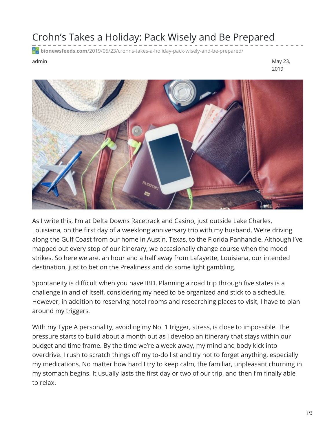## Crohn's Takes a Holiday: Pack Wisely and Be Prepared

**bionewsfeeds.com**[/2019/05/23/crohns-takes-a-holiday-pack-wisely-and-be-prepared/](https://bionewsfeeds.com/2019/05/23/crohns-takes-a-holiday-pack-wisely-and-be-prepared/)

admin May 23, 2019



As I write this, I'm at Delta Downs Racetrack and Casino, just outside Lake Charles, Louisiana, on the first day of a weeklong anniversary trip with my husband. We're driving along the Gulf Coast from our home in Austin, Texas, to the Florida Panhandle. Although I've mapped out every stop of our itinerary, we occasionally change course when the mood strikes. So here we are, an hour and a half away from Lafayette, Louisiana, our intended destination, just to bet on the **[Preakness](https://www.preakness.com/)** and do some light gambling.

Spontaneity is difficult when you have IBD. Planning a road trip through five states is a challenge in and of itself, considering my need to be organized and stick to a schedule. However, in addition to reserving hotel rooms and researching places to visit, I have to plan around my [triggers](https://ibdnewstoday.com/2019/04/11/triggers-flares-journal-diet-tracking-symptoms/).

With my Type A personality, avoiding my No. 1 trigger, stress, is close to impossible. The pressure starts to build about a month out as I develop an itinerary that stays within our budget and time frame. By the time we're a week away, my mind and body kick into overdrive. I rush to scratch things off my to-do list and try not to forget anything, especially my medications. No matter how hard I try to keep calm, the familiar, unpleasant churning in my stomach begins. It usually lasts the first day or two of our trip, and then I'm finally able to relax.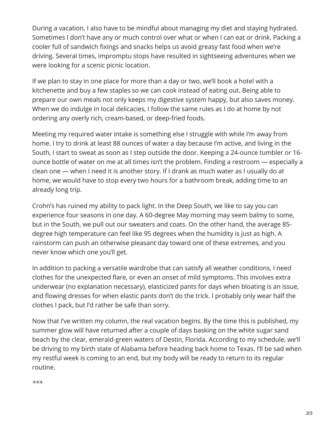During a vacation, I also have to be mindful about managing my diet and staying hydrated. Sometimes I don't have any or much control over what or when I can eat or drink. Packing a cooler full of sandwich fixings and snacks helps us avoid greasy fast food when we're driving. Several times, impromptu stops have resulted in sightseeing adventures when we were looking for a scenic picnic location.

If we plan to stay in one place for more than a day or two, we'll book a hotel with a kitchenette and buy a few staples so we can cook instead of eating out. Being able to prepare our own meals not only keeps my digestive system happy, but also saves money. When we do indulge in local delicacies, I follow the same rules as I do at home by not ordering any overly rich, cream-based, or deep-fried foods.

Meeting my required water intake is something else I struggle with while I'm away from home. I try to drink at least 88 ounces of water a day because I'm active, and living in the South, I start to sweat as soon as I step outside the door. Keeping a 24-ounce tumbler or 16 ounce bottle of water on me at all times isn't the problem. Finding a restroom — especially a clean one — when I need it is another story. If I drank as much water as I usually do at home, we would have to stop every two hours for a bathroom break, adding time to an already long trip.

Crohn's has ruined my ability to pack light. In the Deep South, we like to say you can experience four seasons in one day. A 60-degree May morning may seem balmy to some, but in the South, we pull out our sweaters and coats. On the other hand, the average 85 degree high temperature can feel like 95 degrees when the humidity is just as high. A rainstorm can push an otherwise pleasant day toward one of these extremes, and you never know which one you'll get.

In addition to packing a versatile wardrobe that can satisfy all weather conditions, I need clothes for the unexpected flare, or even an onset of mild symptoms. This involves extra underwear (no explanation necessary), elasticized pants for days when bloating is an issue, and flowing dresses for when elastic pants don't do the trick. I probably only wear half the clothes I pack, but I'd rather be safe than sorry.

Now that I've written my column, the real vacation begins. By the time this is published, my summer glow will have returned after a couple of days basking on the white sugar sand beach by the clear, emerald-green waters of Destin, Florida. According to my schedule, we'll be driving to my birth state of Alabama before heading back home to Texas. I'll be sad when my restful week is coming to an end, but my body will be ready to return to its regular routine.